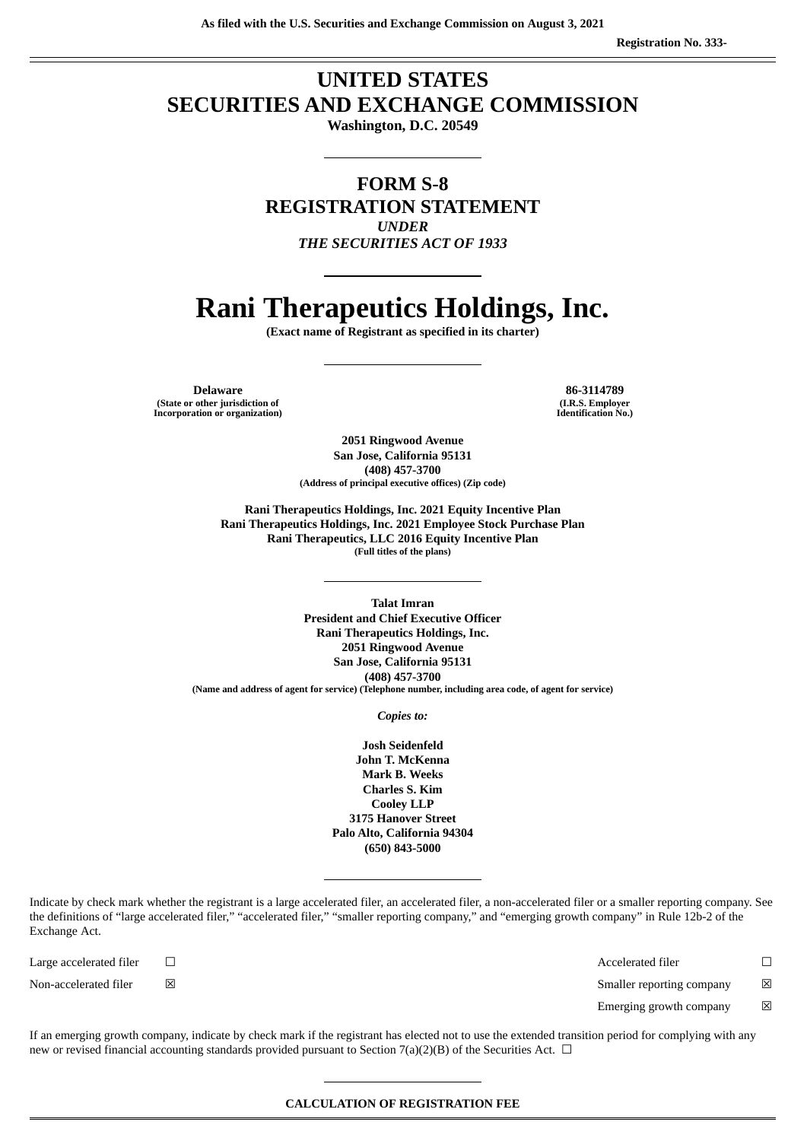# **UNITED STATES SECURITIES AND EXCHANGE COMMISSION**

**Washington, D.C. 20549**

**FORM S-8 REGISTRATION STATEMENT** *UNDER THE SECURITIES ACT OF 1933*

# **Rani Therapeutics Holdings, Inc.**

**(Exact name of Registrant as specified in its charter)**

**Delaware 86-3114789 (State or other jurisdiction of Incorporation or organization)**

**(I.R.S. Employer Identification No.)**

**2051 Ringwood Avenue San Jose, California 95131 (408) 457-3700 (Address of principal executive offices) (Zip code)**

**Rani Therapeutics Holdings, Inc. 2021 Equity Incentive Plan Rani Therapeutics Holdings, Inc. 2021 Employee Stock Purchase Plan Rani Therapeutics, LLC 2016 Equity Incentive Plan (Full titles of the plans)**

**Talat Imran President and Chief Executive Officer Rani Therapeutics Holdings, Inc. 2051 Ringwood Avenue San Jose, California 95131 (408) 457-3700 (Name and address of agent for service) (Telephone number, including area code, of agent for service)**

*Copies to:*

**Josh Seidenfeld John T. McKenna Mark B. Weeks Charles S. Kim Cooley LLP 3175 Hanover Street Palo Alto, California 94304 (650) 843-5000**

Indicate by check mark whether the registrant is a large accelerated filer, an accelerated filer, a non-accelerated filer or a smaller reporting company. See the definitions of "large accelerated filer," "accelerated filer," "smaller reporting company," and "emerging growth company" in Rule 12b-2 of the Exchange Act.

Large accelerated filer ☐ Accelerated filer ☐

Non-accelerated filer  $□$  ⊠  $□$   $□$  Smaller reporting company  $□$ 

Emerging growth company  $\boxtimes$ 

If an emerging growth company, indicate by check mark if the registrant has elected not to use the extended transition period for complying with any new or revised financial accounting standards provided pursuant to Section 7(a)(2)(B) of the Securities Act.  $\Box$ 

**CALCULATION OF REGISTRATION FEE**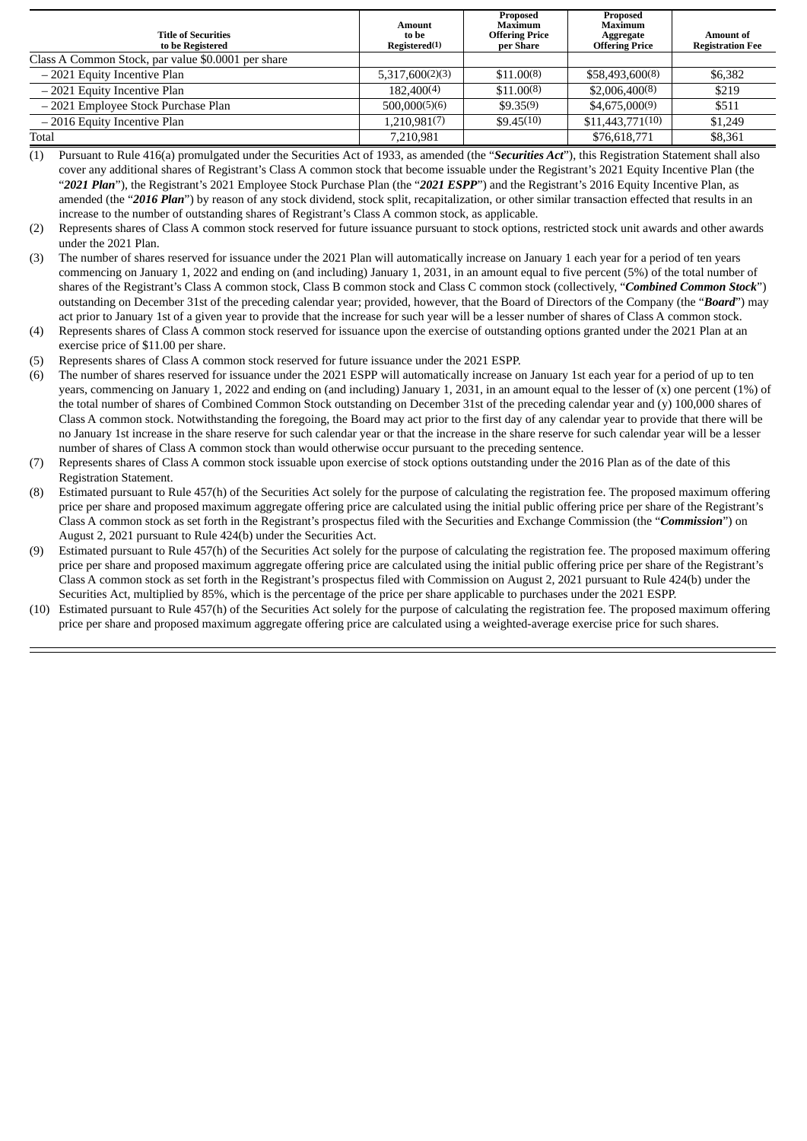| <b>Title of Securities</b><br>to be Registered     | <b>Amount</b><br>to be<br>Registered(1) | Proposed<br>Maximum<br><b>Offering Price</b><br>per Share | Proposed<br>Maximum<br>Aggregate<br><b>Offering Price</b> | <b>Amount of</b><br><b>Registration Fee</b> |
|----------------------------------------------------|-----------------------------------------|-----------------------------------------------------------|-----------------------------------------------------------|---------------------------------------------|
| Class A Common Stock, par value \$0.0001 per share |                                         |                                                           |                                                           |                                             |
| -2021 Equity Incentive Plan                        | 5.317,600(2)(3)                         | \$11,00(8)                                                | \$58,493,600(8)                                           | \$6,382                                     |
| - 2021 Equity Incentive Plan                       | 182,400(4)                              | \$11.00(8)                                                | \$2,006,400(8)                                            | \$219                                       |
| - 2021 Employee Stock Purchase Plan                | 500.000(5)(6)                           | \$9.35(9)                                                 | \$4,675,000(9)                                            | \$511                                       |
| -2016 Equity Incentive Plan                        | 1,210,981(7)                            | \$9.45(10)                                                | \$11,443,771(10)                                          | \$1,249                                     |
| Total                                              | 7.210.981                               |                                                           | \$76,618,771                                              | \$8,361                                     |

(1) Pursuant to Rule 416(a) promulgated under the Securities Act of 1933, as amended (the "*Securities Act*"), this Registration Statement shall also cover any additional shares of Registrant's Class A common stock that become issuable under the Registrant's 2021 Equity Incentive Plan (the "*2021 Plan*"), the Registrant's 2021 Employee Stock Purchase Plan (the "*2021 ESPP*") and the Registrant's 2016 Equity Incentive Plan, as amended (the "*2016 Plan*") by reason of any stock dividend, stock split, recapitalization, or other similar transaction effected that results in an increase to the number of outstanding shares of Registrant's Class A common stock, as applicable.

- (2) Represents shares of Class A common stock reserved for future issuance pursuant to stock options, restricted stock unit awards and other awards under the 2021 Plan.
- (3) The number of shares reserved for issuance under the 2021 Plan will automatically increase on January 1 each year for a period of ten years commencing on January 1, 2022 and ending on (and including) January 1, 2031, in an amount equal to five percent (5%) of the total number of shares of the Registrant's Class A common stock, Class B common stock and Class C common stock (collectively, "*Combined Common Stock*") outstanding on December 31st of the preceding calendar year; provided, however, that the Board of Directors of the Company (the "*Board*") may act prior to January 1st of a given year to provide that the increase for such year will be a lesser number of shares of Class A common stock.
- (4) Represents shares of Class A common stock reserved for issuance upon the exercise of outstanding options granted under the 2021 Plan at an exercise price of \$11.00 per share.
- (5) Represents shares of Class A common stock reserved for future issuance under the 2021 ESPP.
- (6) The number of shares reserved for issuance under the 2021 ESPP will automatically increase on January 1st each year for a period of up to ten years, commencing on January 1, 2022 and ending on (and including) January 1, 2031, in an amount equal to the lesser of (x) one percent (1%) of the total number of shares of Combined Common Stock outstanding on December 31st of the preceding calendar year and (y) 100,000 shares of Class A common stock. Notwithstanding the foregoing, the Board may act prior to the first day of any calendar year to provide that there will be no January 1st increase in the share reserve for such calendar year or that the increase in the share reserve for such calendar year will be a lesser number of shares of Class A common stock than would otherwise occur pursuant to the preceding sentence.
- (7) Represents shares of Class A common stock issuable upon exercise of stock options outstanding under the 2016 Plan as of the date of this Registration Statement.
- (8) Estimated pursuant to Rule 457(h) of the Securities Act solely for the purpose of calculating the registration fee. The proposed maximum offering price per share and proposed maximum aggregate offering price are calculated using the initial public offering price per share of the Registrant's Class A common stock as set forth in the Registrant's prospectus filed with the Securities and Exchange Commission (the "*Commission*") on August 2, 2021 pursuant to Rule 424(b) under the Securities Act.
- (9) Estimated pursuant to Rule 457(h) of the Securities Act solely for the purpose of calculating the registration fee. The proposed maximum offering price per share and proposed maximum aggregate offering price are calculated using the initial public offering price per share of the Registrant's Class A common stock as set forth in the Registrant's prospectus filed with Commission on August 2, 2021 pursuant to Rule 424(b) under the Securities Act, multiplied by 85%, which is the percentage of the price per share applicable to purchases under the 2021 ESPP.
- (10) Estimated pursuant to Rule 457(h) of the Securities Act solely for the purpose of calculating the registration fee. The proposed maximum offering price per share and proposed maximum aggregate offering price are calculated using a weighted-average exercise price for such shares.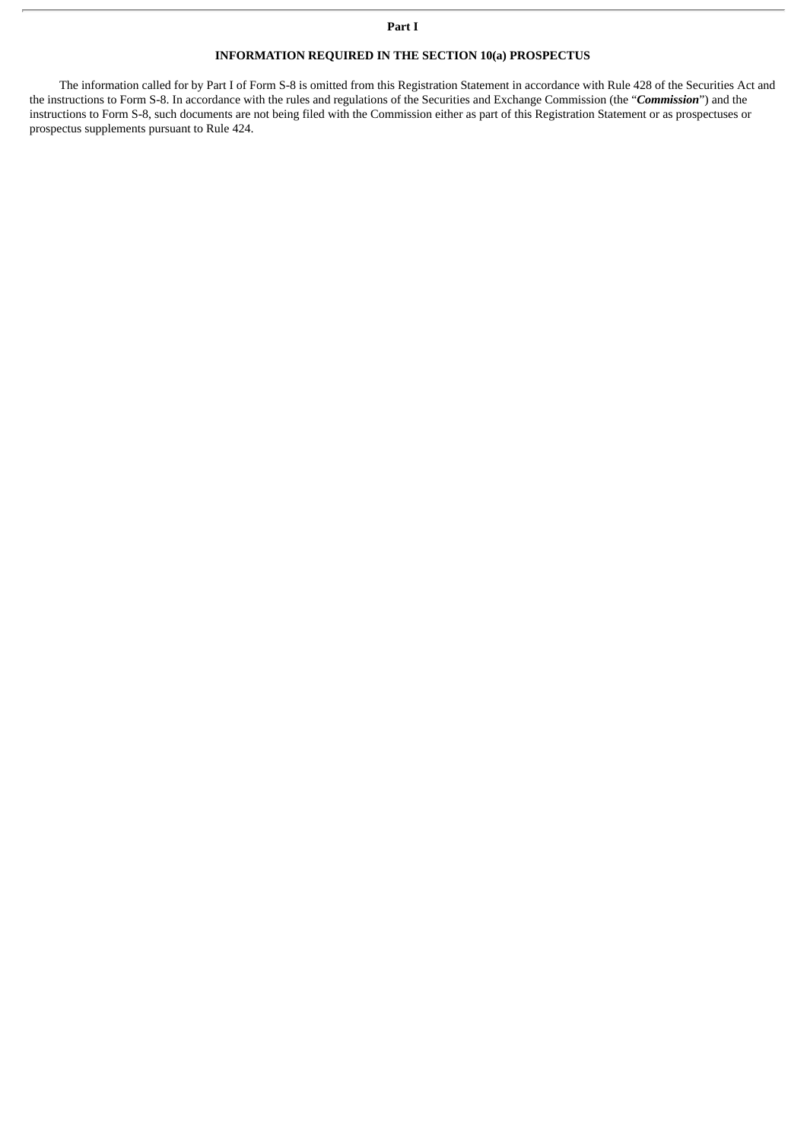#### **Part I**

# **INFORMATION REQUIRED IN THE SECTION 10(a) PROSPECTUS**

The information called for by Part I of Form S-8 is omitted from this Registration Statement in accordance with Rule 428 of the Securities Act and the instructions to Form S-8. In accordance with the rules and regulations of the Securities and Exchange Commission (the "*Commission*") and the instructions to Form S-8, such documents are not being filed with the Commission either as part of this Registration Statement or as prospectuses or prospectus supplements pursuant to Rule 424.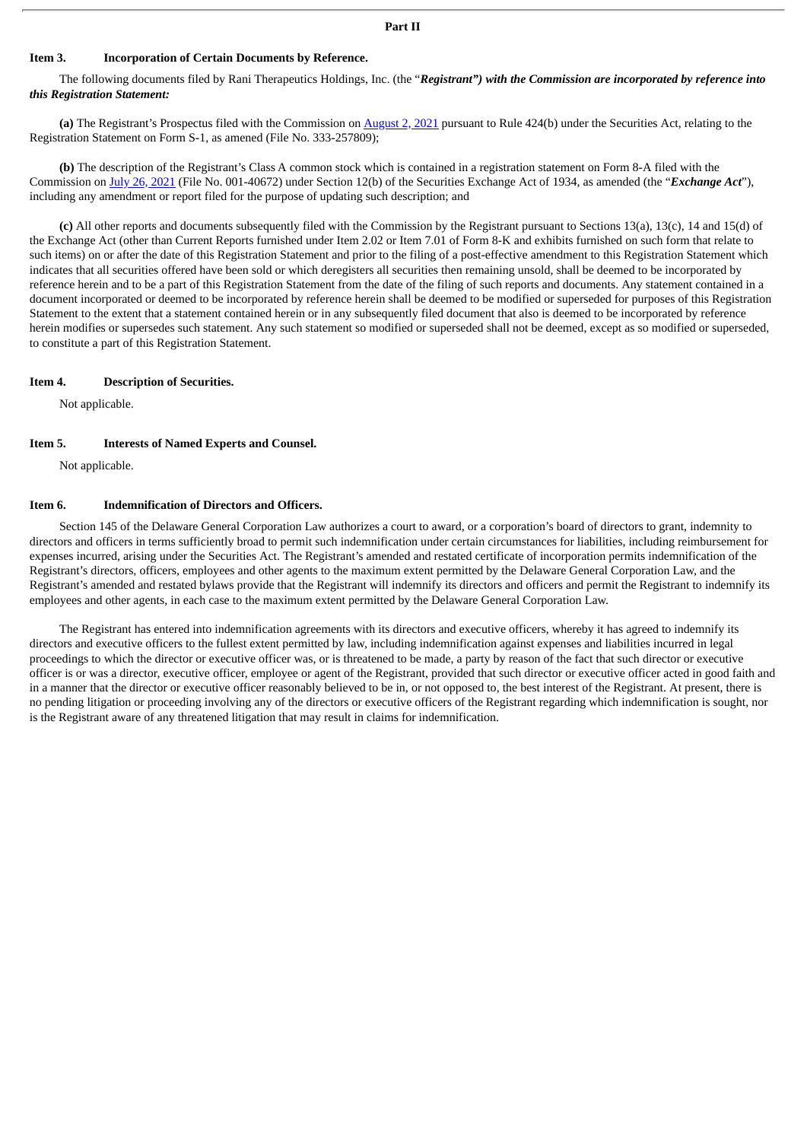# **Part II**

#### **Item 3. Incorporation of Certain Documents by Reference.**

The following documents filed by Rani Therapeutics Holdings, Inc. (the "*Registrant") with the Commission are incorporated by reference into this Registration Statement:*

**(a)** The Registrant's Prospectus filed with the Commission on [August](http://www.sec.gov/Archives/edgar/data/1856725/000119312521233246/d151628d424b4.htm) 2, 2021 pursuant to Rule 424(b) under the Securities Act, relating to the Registration Statement on Form S-1, as amened (File No. 333-257809);

**(b)** The description of the Registrant's Class A common stock which is contained in a registration statement on Form 8-A filed with the Commission on July 26, [2021](http://www.sec.gov/Archives/edgar/data/1856725/000119312521224394/d193678d8a12b.htm) (File No. 001-40672) under Section 12(b) of the Securities Exchange Act of 1934, as amended (the "*Exchange Act*"), including any amendment or report filed for the purpose of updating such description; and

**(c)** All other reports and documents subsequently filed with the Commission by the Registrant pursuant to Sections 13(a), 13(c), 14 and 15(d) of the Exchange Act (other than Current Reports furnished under Item 2.02 or Item 7.01 of Form 8-K and exhibits furnished on such form that relate to such items) on or after the date of this Registration Statement and prior to the filing of a post-effective amendment to this Registration Statement which indicates that all securities offered have been sold or which deregisters all securities then remaining unsold, shall be deemed to be incorporated by reference herein and to be a part of this Registration Statement from the date of the filing of such reports and documents. Any statement contained in a document incorporated or deemed to be incorporated by reference herein shall be deemed to be modified or superseded for purposes of this Registration Statement to the extent that a statement contained herein or in any subsequently filed document that also is deemed to be incorporated by reference herein modifies or supersedes such statement. Any such statement so modified or superseded shall not be deemed, except as so modified or superseded, to constitute a part of this Registration Statement.

#### **Item 4. Description of Securities.**

Not applicable.

#### **Item 5. Interests of Named Experts and Counsel.**

Not applicable.

#### **Item 6. Indemnification of Directors and Officers.**

Section 145 of the Delaware General Corporation Law authorizes a court to award, or a corporation's board of directors to grant, indemnity to directors and officers in terms sufficiently broad to permit such indemnification under certain circumstances for liabilities, including reimbursement for expenses incurred, arising under the Securities Act. The Registrant's amended and restated certificate of incorporation permits indemnification of the Registrant's directors, officers, employees and other agents to the maximum extent permitted by the Delaware General Corporation Law, and the Registrant's amended and restated bylaws provide that the Registrant will indemnify its directors and officers and permit the Registrant to indemnify its employees and other agents, in each case to the maximum extent permitted by the Delaware General Corporation Law.

The Registrant has entered into indemnification agreements with its directors and executive officers, whereby it has agreed to indemnify its directors and executive officers to the fullest extent permitted by law, including indemnification against expenses and liabilities incurred in legal proceedings to which the director or executive officer was, or is threatened to be made, a party by reason of the fact that such director or executive officer is or was a director, executive officer, employee or agent of the Registrant, provided that such director or executive officer acted in good faith and in a manner that the director or executive officer reasonably believed to be in, or not opposed to, the best interest of the Registrant. At present, there is no pending litigation or proceeding involving any of the directors or executive officers of the Registrant regarding which indemnification is sought, nor is the Registrant aware of any threatened litigation that may result in claims for indemnification.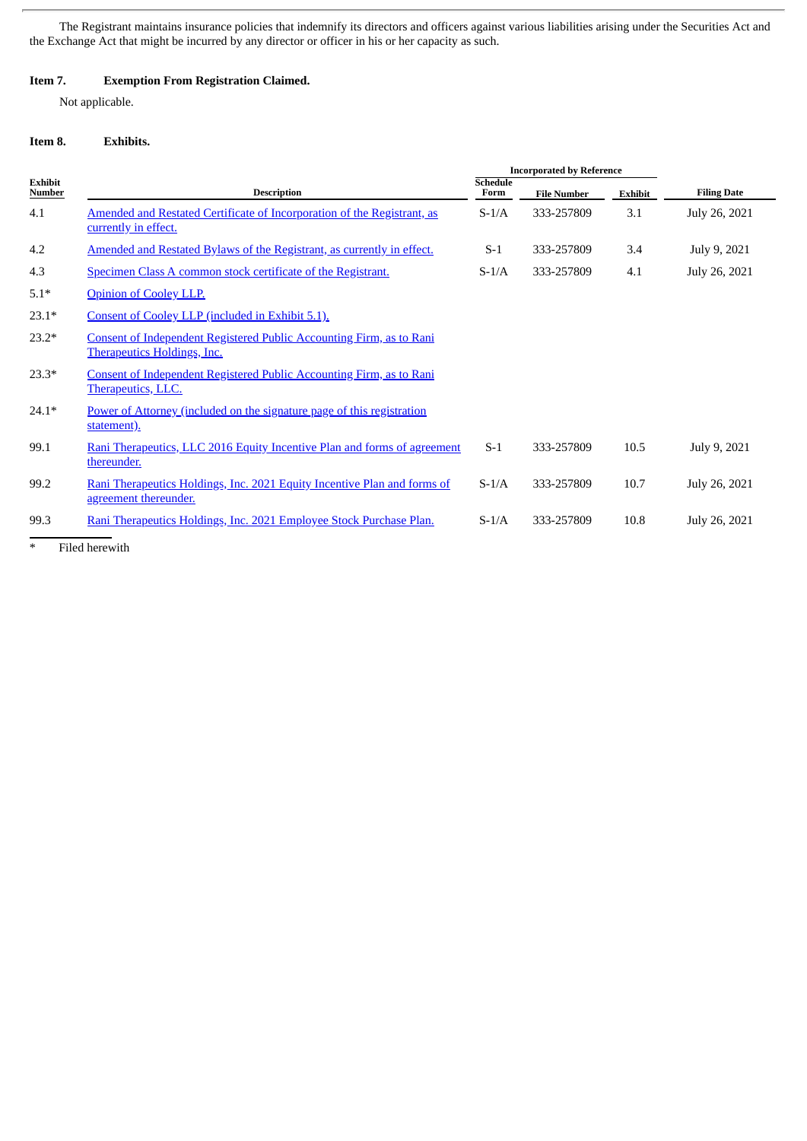The Registrant maintains insurance policies that indemnify its directors and officers against various liabilities arising under the Securities Act and the Exchange Act that might be incurred by any director or officer in his or her capacity as such.

# **Item 7. Exemption From Registration Claimed.**

Not applicable.

# **Item 8. Exhibits.**

|                          |                                                                                                            |                         | <b>Incorporated by Reference</b> |         |                    |
|--------------------------|------------------------------------------------------------------------------------------------------------|-------------------------|----------------------------------|---------|--------------------|
| <b>Exhibit</b><br>Number | <b>Description</b>                                                                                         | <b>Schedule</b><br>Form | <b>File Number</b>               | Exhibit | <b>Filing Date</b> |
| 4.1                      | Amended and Restated Certificate of Incorporation of the Registrant, as<br>currently in effect.            | $S-1/A$                 | 333-257809                       | 3.1     | July 26, 2021      |
| 4.2                      | Amended and Restated Bylaws of the Registrant, as currently in effect.                                     | $S-1$                   | 333-257809                       | 3.4     | July 9, 2021       |
| 4.3                      | Specimen Class A common stock certificate of the Registrant.                                               | $S-1/A$                 | 333-257809                       | 4.1     | July 26, 2021      |
| $5.1*$                   | <b>Opinion of Cooley LLP.</b>                                                                              |                         |                                  |         |                    |
| $23.1*$                  | Consent of Cooley LLP (included in Exhibit 5.1).                                                           |                         |                                  |         |                    |
| $23.2*$                  | Consent of Independent Registered Public Accounting Firm, as to Rani<br><b>Therapeutics Holdings, Inc.</b> |                         |                                  |         |                    |
| $23.3*$                  | Consent of Independent Registered Public Accounting Firm, as to Rani<br>Therapeutics, LLC.                 |                         |                                  |         |                    |
| $24.1*$                  | Power of Attorney (included on the signature page of this registration<br>statement).                      |                         |                                  |         |                    |
| 99.1                     | Rani Therapeutics, LLC 2016 Equity Incentive Plan and forms of agreement<br>thereunder.                    | $S-1$                   | 333-257809                       | 10.5    | July 9, 2021       |
| 99.2                     | Rani Therapeutics Holdings, Inc. 2021 Equity Incentive Plan and forms of<br>agreement thereunder.          | $S-1/A$                 | 333-257809                       | 10.7    | July 26, 2021      |
| 99.3                     | Rani Therapeutics Holdings, Inc. 2021 Employee Stock Purchase Plan.                                        | $S-1/A$                 | 333-257809                       | 10.8    | July 26, 2021      |

\* Filed herewith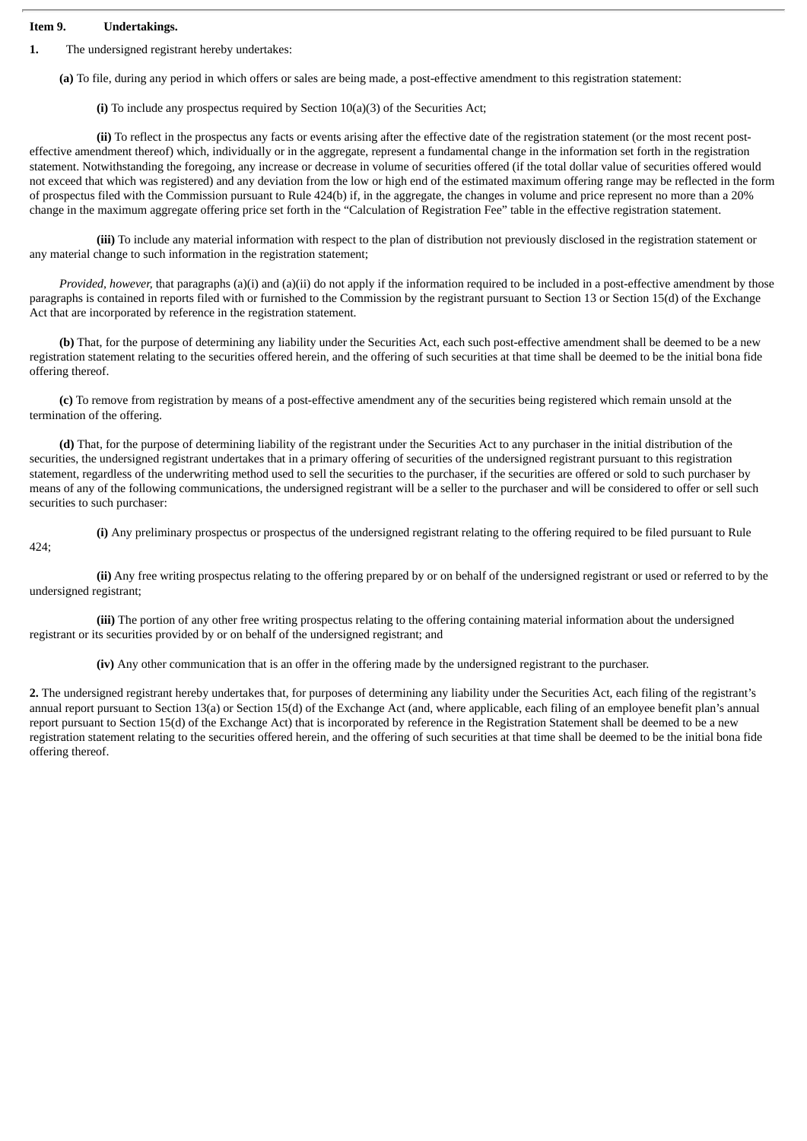# **Item 9. Undertakings.**

424;

**1.** The undersigned registrant hereby undertakes:

**(a)** To file, during any period in which offers or sales are being made, a post-effective amendment to this registration statement:

**(i)** To include any prospectus required by Section 10(a)(3) of the Securities Act;

**(ii)** To reflect in the prospectus any facts or events arising after the effective date of the registration statement (or the most recent posteffective amendment thereof) which, individually or in the aggregate, represent a fundamental change in the information set forth in the registration statement. Notwithstanding the foregoing, any increase or decrease in volume of securities offered (if the total dollar value of securities offered would not exceed that which was registered) and any deviation from the low or high end of the estimated maximum offering range may be reflected in the form of prospectus filed with the Commission pursuant to Rule 424(b) if, in the aggregate, the changes in volume and price represent no more than a 20% change in the maximum aggregate offering price set forth in the "Calculation of Registration Fee" table in the effective registration statement.

**(iii)** To include any material information with respect to the plan of distribution not previously disclosed in the registration statement or any material change to such information in the registration statement;

*Provided, however,* that paragraphs (a)(i) and (a)(ii) do not apply if the information required to be included in a post-effective amendment by those paragraphs is contained in reports filed with or furnished to the Commission by the registrant pursuant to Section 13 or Section 15(d) of the Exchange Act that are incorporated by reference in the registration statement.

**(b)** That, for the purpose of determining any liability under the Securities Act, each such post-effective amendment shall be deemed to be a new registration statement relating to the securities offered herein, and the offering of such securities at that time shall be deemed to be the initial bona fide offering thereof.

**(c)** To remove from registration by means of a post-effective amendment any of the securities being registered which remain unsold at the termination of the offering.

**(d)** That, for the purpose of determining liability of the registrant under the Securities Act to any purchaser in the initial distribution of the securities, the undersigned registrant undertakes that in a primary offering of securities of the undersigned registrant pursuant to this registration statement, regardless of the underwriting method used to sell the securities to the purchaser, if the securities are offered or sold to such purchaser by means of any of the following communications, the undersigned registrant will be a seller to the purchaser and will be considered to offer or sell such securities to such purchaser:

**(i)** Any preliminary prospectus or prospectus of the undersigned registrant relating to the offering required to be filed pursuant to Rule

**(ii)** Any free writing prospectus relating to the offering prepared by or on behalf of the undersigned registrant or used or referred to by the undersigned registrant;

**(iii)** The portion of any other free writing prospectus relating to the offering containing material information about the undersigned registrant or its securities provided by or on behalf of the undersigned registrant; and

**(iv)** Any other communication that is an offer in the offering made by the undersigned registrant to the purchaser.

**2.** The undersigned registrant hereby undertakes that, for purposes of determining any liability under the Securities Act, each filing of the registrant's annual report pursuant to Section 13(a) or Section 15(d) of the Exchange Act (and, where applicable, each filing of an employee benefit plan's annual report pursuant to Section 15(d) of the Exchange Act) that is incorporated by reference in the Registration Statement shall be deemed to be a new registration statement relating to the securities offered herein, and the offering of such securities at that time shall be deemed to be the initial bona fide offering thereof.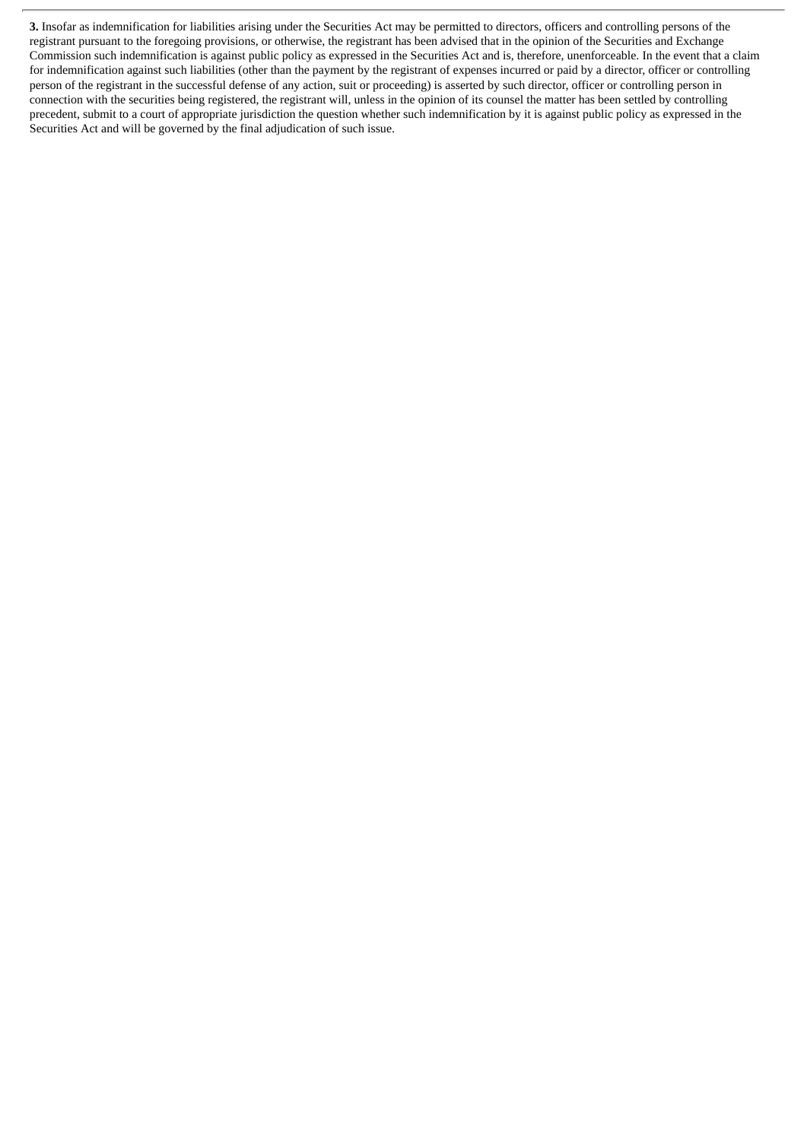**3.** Insofar as indemnification for liabilities arising under the Securities Act may be permitted to directors, officers and controlling persons of the registrant pursuant to the foregoing provisions, or otherwise, the registrant has been advised that in the opinion of the Securities and Exchange Commission such indemnification is against public policy as expressed in the Securities Act and is, therefore, unenforceable. In the event that a claim for indemnification against such liabilities (other than the payment by the registrant of expenses incurred or paid by a director, officer or controlling person of the registrant in the successful defense of any action, suit or proceeding) is asserted by such director, officer or controlling person in connection with the securities being registered, the registrant will, unless in the opinion of its counsel the matter has been settled by controlling precedent, submit to a court of appropriate jurisdiction the question whether such indemnification by it is against public policy as expressed in the Securities Act and will be governed by the final adjudication of such issue.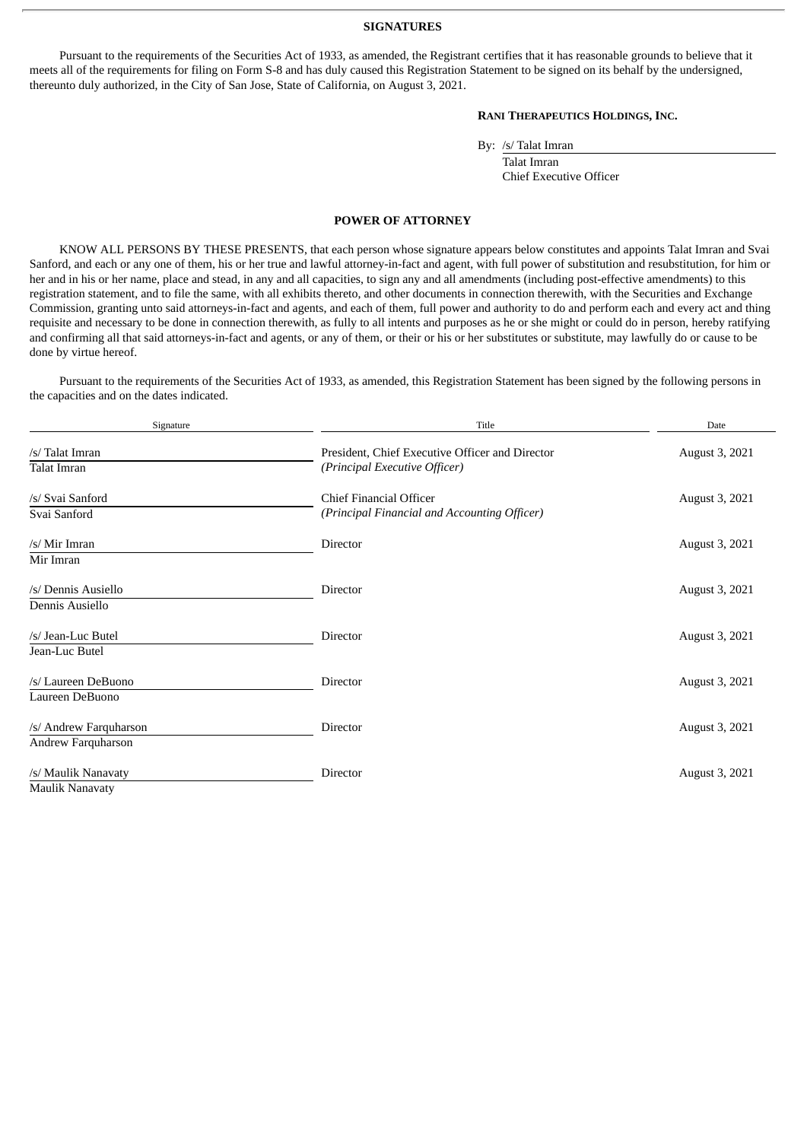#### **SIGNATURES**

<span id="page-7-0"></span>Pursuant to the requirements of the Securities Act of 1933, as amended, the Registrant certifies that it has reasonable grounds to believe that it meets all of the requirements for filing on Form S-8 and has duly caused this Registration Statement to be signed on its behalf by the undersigned, thereunto duly authorized, in the City of San Jose, State of California, on August 3, 2021.

# **RANI THERAPEUTICS HOLDINGS, INC.**

By: /s/ Talat Imran

Talat Imran Chief Executive Officer

#### **POWER OF ATTORNEY**

KNOW ALL PERSONS BY THESE PRESENTS, that each person whose signature appears below constitutes and appoints Talat Imran and Svai Sanford, and each or any one of them, his or her true and lawful attorney-in-fact and agent, with full power of substitution and resubstitution, for him or her and in his or her name, place and stead, in any and all capacities, to sign any and all amendments (including post-effective amendments) to this registration statement, and to file the same, with all exhibits thereto, and other documents in connection therewith, with the Securities and Exchange Commission, granting unto said attorneys-in-fact and agents, and each of them, full power and authority to do and perform each and every act and thing requisite and necessary to be done in connection therewith, as fully to all intents and purposes as he or she might or could do in person, hereby ratifying and confirming all that said attorneys-in-fact and agents, or any of them, or their or his or her substitutes or substitute, may lawfully do or cause to be done by virtue hereof.

Pursuant to the requirements of the Securities Act of 1933, as amended, this Registration Statement has been signed by the following persons in the capacities and on the dates indicated.

| Signature                                     | Title                                                                            | Date           |
|-----------------------------------------------|----------------------------------------------------------------------------------|----------------|
| /s/ Talat Imran<br>Talat Imran                | President, Chief Executive Officer and Director<br>(Principal Executive Officer) | August 3, 2021 |
| /s/ Svai Sanford<br>Svai Sanford              | Chief Financial Officer<br>(Principal Financial and Accounting Officer)          | August 3, 2021 |
| /s/ Mir Imran<br>Mir Imran                    | Director                                                                         | August 3, 2021 |
| /s/ Dennis Ausiello<br>Dennis Ausiello        | <b>Director</b>                                                                  | August 3, 2021 |
| /s/ Jean-Luc Butel<br>Jean-Luc Butel          | Director                                                                         | August 3, 2021 |
| /s/ Laureen DeBuono<br>Laureen DeBuono        | <b>Director</b>                                                                  | August 3, 2021 |
| /s/ Andrew Farquharson<br>Andrew Farquharson  | <b>Director</b>                                                                  | August 3, 2021 |
| /s/ Maulik Nanavaty<br><b>Maulik Nanavaty</b> | Director                                                                         | August 3, 2021 |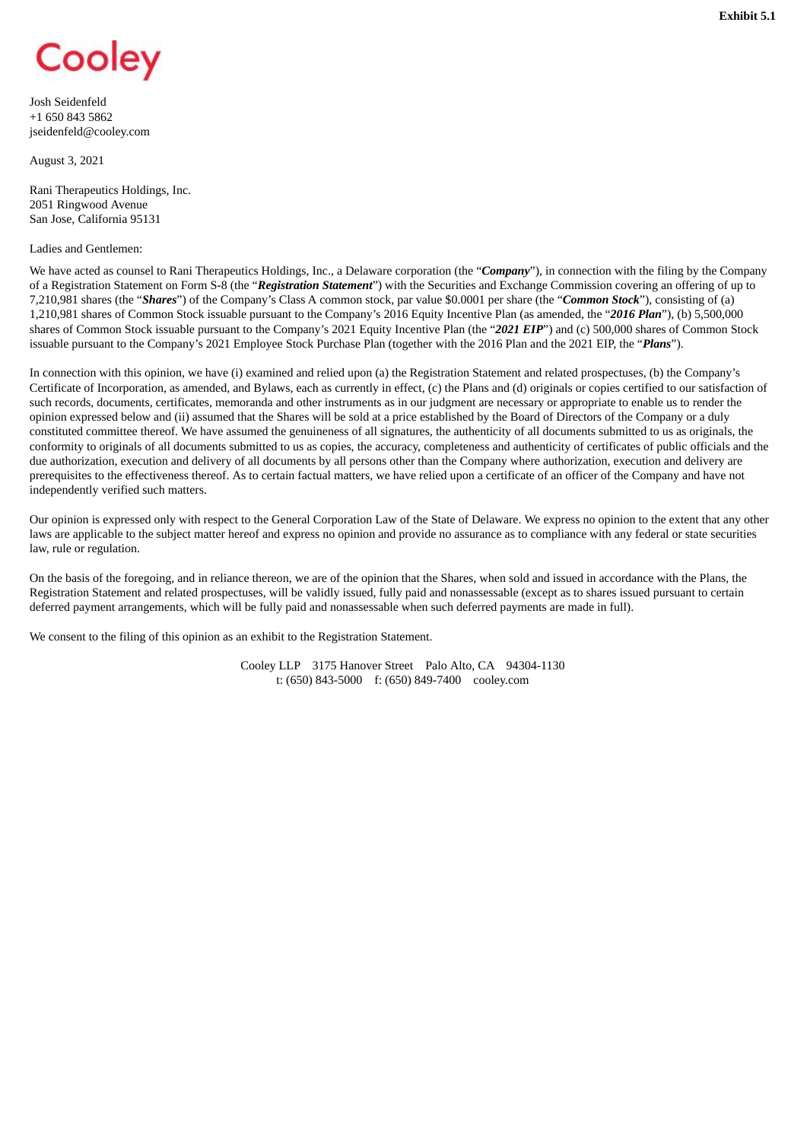<span id="page-8-0"></span>

Josh Seidenfeld +1 650 843 5862 jseidenfeld@cooley.com

August 3, 2021

Rani Therapeutics Holdings, Inc. 2051 Ringwood Avenue San Jose, California 95131

#### Ladies and Gentlemen:

We have acted as counsel to Rani Therapeutics Holdings, Inc., a Delaware corporation (the "*Company*"), in connection with the filing by the Company of a Registration Statement on Form S-8 (the "*Registration Statement*") with the Securities and Exchange Commission covering an offering of up to 7,210,981 shares (the "*Shares*") of the Company's Class A common stock, par value \$0.0001 per share (the "*Common Stock*"), consisting of (a) 1,210,981 shares of Common Stock issuable pursuant to the Company's 2016 Equity Incentive Plan (as amended, the "*2016 Plan*"), (b) 5,500,000 shares of Common Stock issuable pursuant to the Company's 2021 Equity Incentive Plan (the "*2021 EIP*") and (c) 500,000 shares of Common Stock issuable pursuant to the Company's 2021 Employee Stock Purchase Plan (together with the 2016 Plan and the 2021 EIP, the "*Plans*").

In connection with this opinion, we have (i) examined and relied upon (a) the Registration Statement and related prospectuses, (b) the Company's Certificate of Incorporation, as amended, and Bylaws, each as currently in effect, (c) the Plans and (d) originals or copies certified to our satisfaction of such records, documents, certificates, memoranda and other instruments as in our judgment are necessary or appropriate to enable us to render the opinion expressed below and (ii) assumed that the Shares will be sold at a price established by the Board of Directors of the Company or a duly constituted committee thereof. We have assumed the genuineness of all signatures, the authenticity of all documents submitted to us as originals, the conformity to originals of all documents submitted to us as copies, the accuracy, completeness and authenticity of certificates of public officials and the due authorization, execution and delivery of all documents by all persons other than the Company where authorization, execution and delivery are prerequisites to the effectiveness thereof. As to certain factual matters, we have relied upon a certificate of an officer of the Company and have not independently verified such matters.

Our opinion is expressed only with respect to the General Corporation Law of the State of Delaware. We express no opinion to the extent that any other laws are applicable to the subject matter hereof and express no opinion and provide no assurance as to compliance with any federal or state securities law, rule or regulation.

On the basis of the foregoing, and in reliance thereon, we are of the opinion that the Shares, when sold and issued in accordance with the Plans, the Registration Statement and related prospectuses, will be validly issued, fully paid and nonassessable (except as to shares issued pursuant to certain deferred payment arrangements, which will be fully paid and nonassessable when such deferred payments are made in full).

We consent to the filing of this opinion as an exhibit to the Registration Statement.

Cooley LLP 3175 Hanover Street Palo Alto, CA 94304-1130 t: (650) 843-5000 f: (650) 849-7400 cooley.com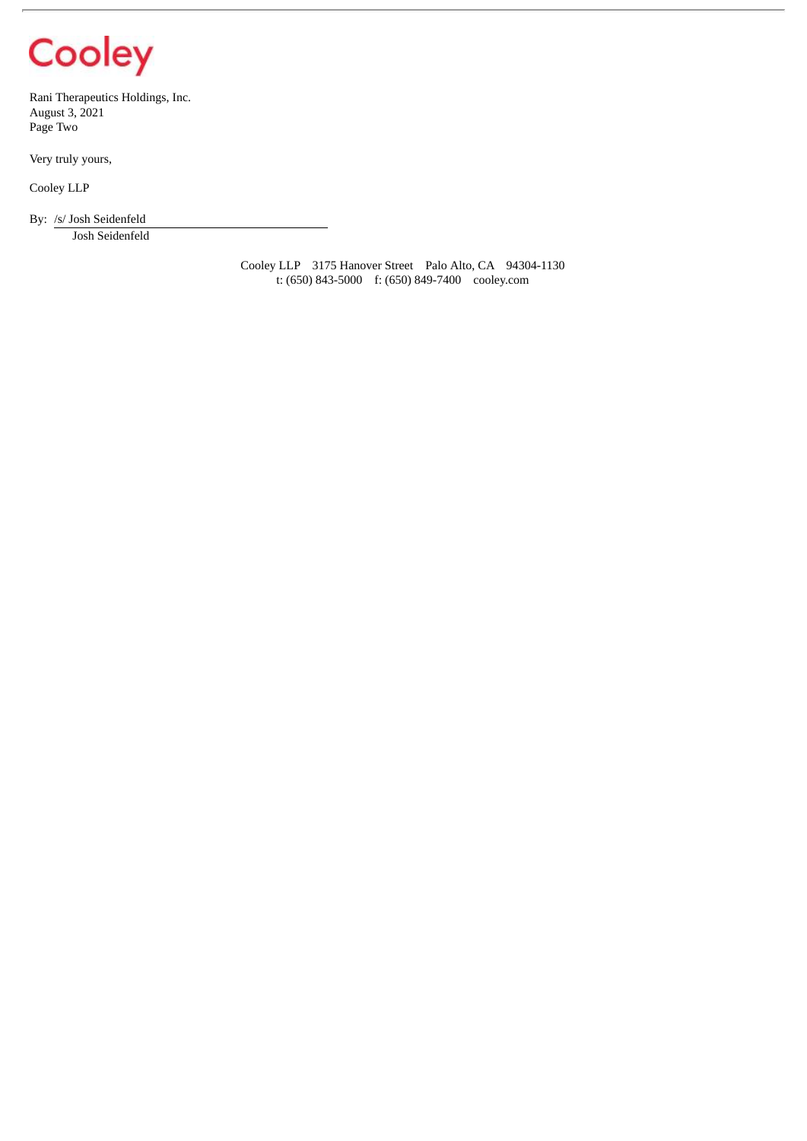# Cooley

Rani Therapeutics Holdings, Inc. August 3, 2021 Page Two

Very truly yours,

Cooley LLP

By: /s/ Josh Seidenfeld

Josh Seidenfeld

Cooley LLP 3175 Hanover Street Palo Alto, CA 94304-1130 t: (650) 843-5000 f: (650) 849-7400 cooley.com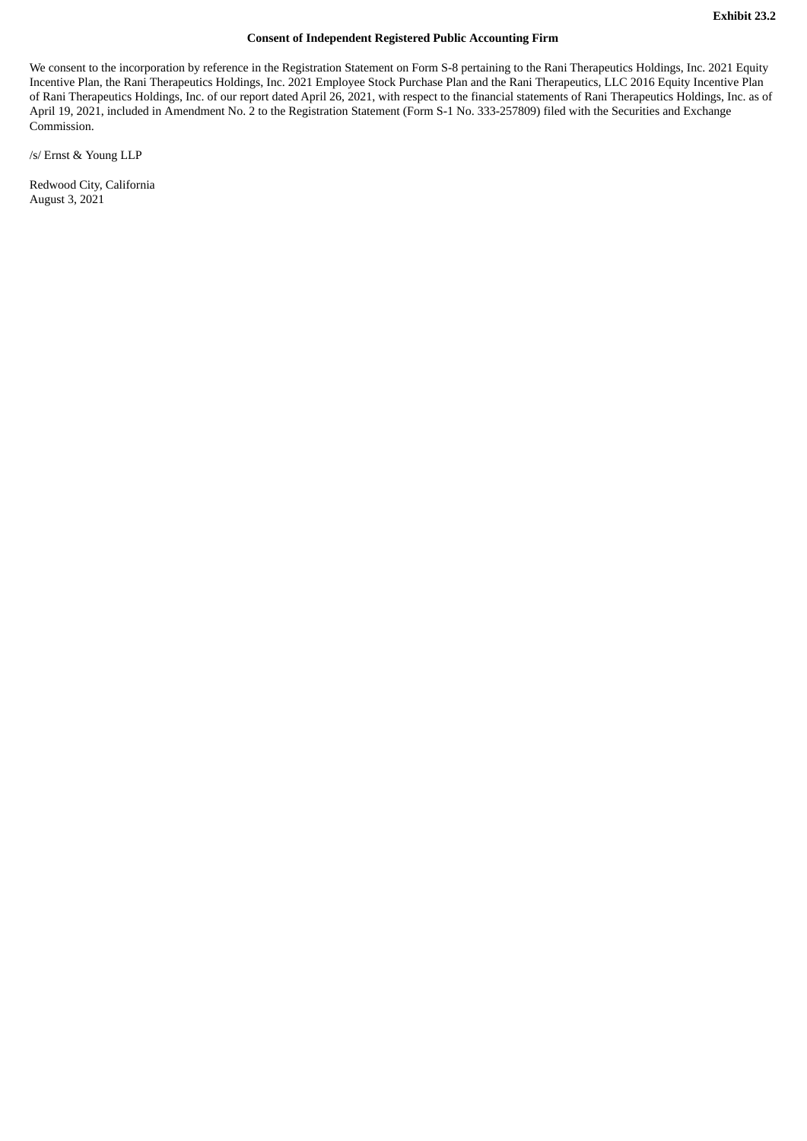# **Consent of Independent Registered Public Accounting Firm**

<span id="page-10-0"></span>We consent to the incorporation by reference in the Registration Statement on Form S-8 pertaining to the Rani Therapeutics Holdings, Inc. 2021 Equity Incentive Plan, the Rani Therapeutics Holdings, Inc. 2021 Employee Stock Purchase Plan and the Rani Therapeutics, LLC 2016 Equity Incentive Plan of Rani Therapeutics Holdings, Inc. of our report dated April 26, 2021, with respect to the financial statements of Rani Therapeutics Holdings, Inc. as of April 19, 2021, included in Amendment No. 2 to the Registration Statement (Form S-1 No. 333-257809) filed with the Securities and Exchange Commission.

/s/ Ernst & Young LLP

Redwood City, California August 3, 2021